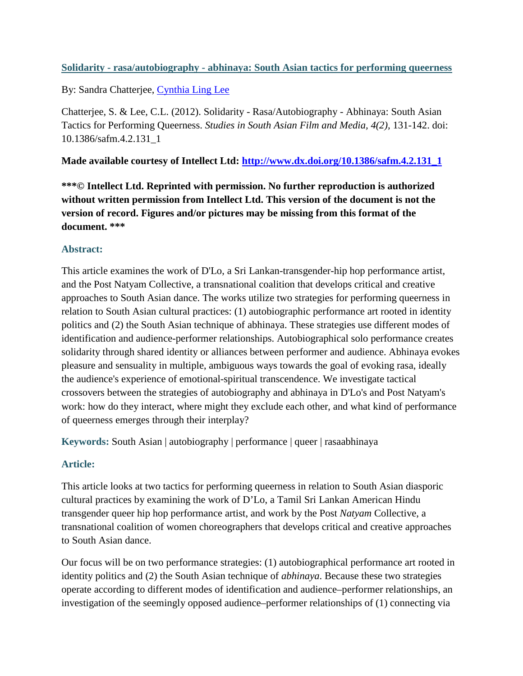# **Solidarity - rasa/autobiography - abhinaya: South Asian tactics for performing queerness**

By: Sandra Chatterjee, [Cynthia Ling Lee](http://libres.uncg.edu/ir/uncg/clist.aspx?id=8206)

Chatterjee, S. & Lee, C.L. (2012). Solidarity - Rasa/Autobiography - Abhinaya: South Asian Tactics for Performing Queerness. *Studies in South Asian Film and Media, 4(2),* 131-142. doi: 10.1386/safm.4.2.131\_1

**Made available courtesy of Intellect Ltd: [http://www.dx.doi.org/10.1386/safm.4.2.131\\_1](http://www.dx.doi.org/10.1386/safm.4.2.131_1)**

**\*\*\*© Intellect Ltd. Reprinted with permission. No further reproduction is authorized without written permission from Intellect Ltd. This version of the document is not the version of record. Figures and/or pictures may be missing from this format of the document. \*\*\***

# **Abstract:**

This article examines the work of D'Lo, a Sri Lankan-transgender-hip hop performance artist, and the Post Natyam Collective, a transnational coalition that develops critical and creative approaches to South Asian dance. The works utilize two strategies for performing queerness in relation to South Asian cultural practices: (1) autobiographic performance art rooted in identity politics and (2) the South Asian technique of abhinaya. These strategies use different modes of identification and audience-performer relationships. Autobiographical solo performance creates solidarity through shared identity or alliances between performer and audience. Abhinaya evokes pleasure and sensuality in multiple, ambiguous ways towards the goal of evoking rasa, ideally the audience's experience of emotional-spiritual transcendence. We investigate tactical crossovers between the strategies of autobiography and abhinaya in D'Lo's and Post Natyam's work: how do they interact, where might they exclude each other, and what kind of performance of queerness emerges through their interplay?

**Keywords:** South Asian | autobiography | performance | queer | rasaabhinaya

# **Article:**

This article looks at two tactics for performing queerness in relation to South Asian diasporic cultural practices by examining the work of D'Lo, a Tamil Sri Lankan American Hindu transgender queer hip hop performance artist, and work by the Post *Natyam* Collective, a transnational coalition of women choreographers that develops critical and creative approaches to South Asian dance.

Our focus will be on two performance strategies: (1) autobiographical performance art rooted in identity politics and (2) the South Asian technique of *abhinaya*. Because these two strategies operate according to different modes of identification and audience–performer relationships, an investigation of the seemingly opposed audience–performer relationships of (1) connecting via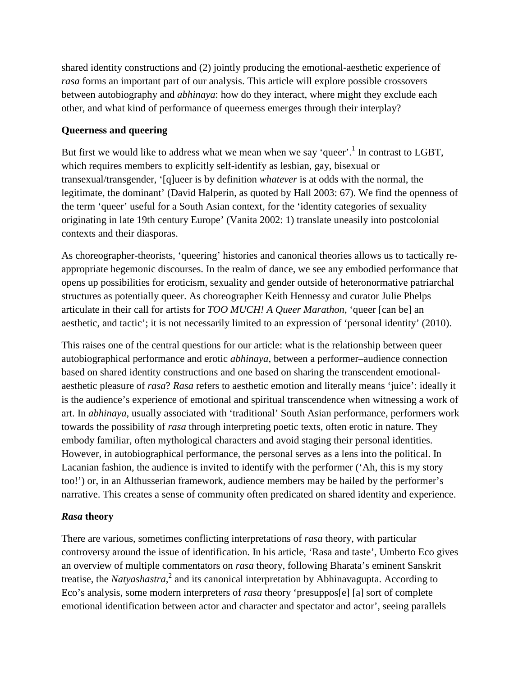shared identity constructions and (2) jointly producing the emotional-aesthetic experience of *rasa* forms an important part of our analysis. This article will explore possible crossovers between autobiography and *abhinaya*: how do they interact, where might they exclude each other, and what kind of performance of queerness emerges through their interplay?

# **Queerness and queering**

But first we would like to address what we mean when we say 'queer'.<sup>1</sup> In contrast to LGBT, which requires members to explicitly self-identify as lesbian, gay, bisexual or transexual/transgender, '[q]ueer is by definition *whatever* is at odds with the normal, the legitimate, the dominant' (David Halperin, as quoted by Hall 2003: 67). We find the openness of the term 'queer' useful for a South Asian context, for the 'identity categories of sexuality originating in late 19th century Europe' (Vanita 2002: 1) translate uneasily into postcolonial contexts and their diasporas.

As choreographer-theorists, 'queering' histories and canonical theories allows us to tactically reappropriate hegemonic discourses. In the realm of dance, we see any embodied performance that opens up possibilities for eroticism, sexuality and gender outside of heteronormative patriarchal structures as potentially queer. As choreographer Keith Hennessy and curator Julie Phelps articulate in their call for artists for *TOO MUCH! A Queer Marathon*, 'queer [can be] an aesthetic, and tactic'; it is not necessarily limited to an expression of 'personal identity' (2010).

This raises one of the central questions for our article: what is the relationship between queer autobiographical performance and erotic *abhinaya*, between a performer–audience connection based on shared identity constructions and one based on sharing the transcendent emotionalaesthetic pleasure of *rasa*? *Rasa* refers to aesthetic emotion and literally means 'juice': ideally it is the audience's experience of emotional and spiritual transcendence when witnessing a work of art. In *abhinaya*, usually associated with 'traditional' South Asian performance, performers work towards the possibility of *rasa* through interpreting poetic texts, often erotic in nature. They embody familiar, often mythological characters and avoid staging their personal identities. However, in autobiographical performance, the personal serves as a lens into the political. In Lacanian fashion, the audience is invited to identify with the performer ('Ah, this is my story too!') or, in an Althusserian framework, audience members may be hailed by the performer's narrative. This creates a sense of community often predicated on shared identity and experience.

# *Rasa* **theory**

There are various, sometimes conflicting interpretations of *rasa* theory, with particular controversy around the issue of identification. In his article, 'Rasa and taste', Umberto Eco gives an overview of multiple commentators on *rasa* theory, following Bharata's eminent Sanskrit treatise, the *Natyashastra*, <sup>2</sup> and its canonical interpretation by Abhinavagupta. According to Eco's analysis, some modern interpreters of *rasa* theory 'presuppos[e] [a] sort of complete emotional identification between actor and character and spectator and actor', seeing parallels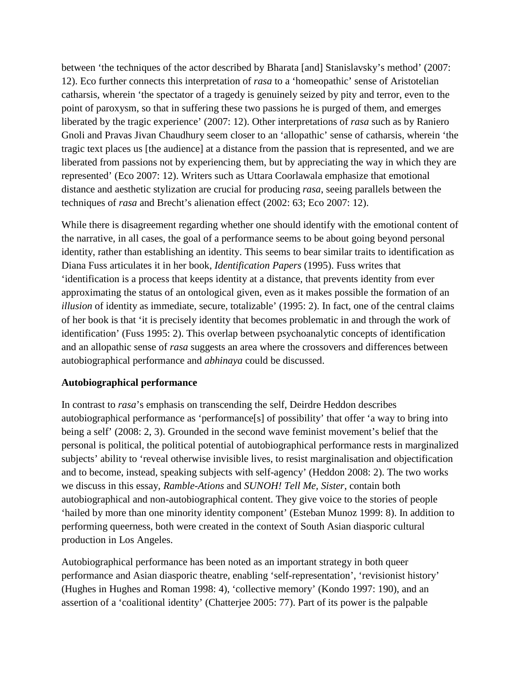between 'the techniques of the actor described by Bharata [and] Stanislavsky's method' (2007: 12). Eco further connects this interpretation of *rasa* to a 'homeopathic' sense of Aristotelian catharsis, wherein 'the spectator of a tragedy is genuinely seized by pity and terror, even to the point of paroxysm, so that in suffering these two passions he is purged of them, and emerges liberated by the tragic experience' (2007: 12). Other interpretations of *rasa* such as by Raniero Gnoli and Pravas Jivan Chaudhury seem closer to an 'allopathic' sense of catharsis, wherein 'the tragic text places us [the audience] at a distance from the passion that is represented, and we are liberated from passions not by experiencing them, but by appreciating the way in which they are represented' (Eco 2007: 12). Writers such as Uttara Coorlawala emphasize that emotional distance and aesthetic stylization are crucial for producing *rasa*, seeing parallels between the techniques of *rasa* and Brecht's alienation effect (2002: 63; Eco 2007: 12).

While there is disagreement regarding whether one should identify with the emotional content of the narrative, in all cases, the goal of a performance seems to be about going beyond personal identity, rather than establishing an identity. This seems to bear similar traits to identification as Diana Fuss articulates it in her book, *Identification Papers* (1995). Fuss writes that 'identification is a process that keeps identity at a distance, that prevents identity from ever approximating the status of an ontological given, even as it makes possible the formation of an *illusion* of identity as immediate, secure, totalizable' (1995: 2). In fact, one of the central claims of her book is that 'it is precisely identity that becomes problematic in and through the work of identification' (Fuss 1995: 2). This overlap between psychoanalytic concepts of identification and an allopathic sense of *rasa* suggests an area where the crossovers and differences between autobiographical performance and *abhinaya* could be discussed.

## **Autobiographical performance**

In contrast to *rasa*'s emphasis on transcending the self, Deirdre Heddon describes autobiographical performance as 'performance[s] of possibility' that offer 'a way to bring into being a self' (2008: 2, 3). Grounded in the second wave feminist movement's belief that the personal is political, the political potential of autobiographical performance rests in marginalized subjects' ability to 'reveal otherwise invisible lives, to resist marginalisation and objectification and to become, instead, speaking subjects with self-agency' (Heddon 2008: 2). The two works we discuss in this essay, *Ramble-Ations* and *SUNOH! Tell Me, Sister*, contain both autobiographical and non-autobiographical content. They give voice to the stories of people 'hailed by more than one minority identity component' (Esteban Munoz 1999: 8). In addition to performing queerness, both were created in the context of South Asian diasporic cultural production in Los Angeles.

Autobiographical performance has been noted as an important strategy in both queer performance and Asian diasporic theatre, enabling 'self-representation', 'revisionist history' (Hughes in Hughes and Roman 1998: 4), 'collective memory' (Kondo 1997: 190), and an assertion of a 'coalitional identity' (Chatterjee 2005: 77). Part of its power is the palpable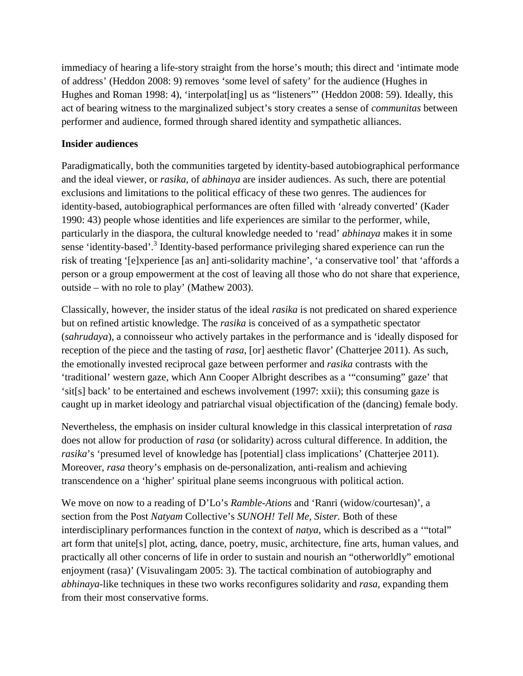immediacy of hearing a life-story straight from the horse's mouth; this direct and 'intimate mode of address' (Heddon 2008: 9) removes 'some level of safety' for the audience (Hughes in Hughes and Roman 1998: 4), 'interpolat [ing] us as "listeners" (Heddon 2008: 59). Ideally, this act of bearing witness to the marginalized subject's story creates a sense of *communitas* between performer and audience, formed through shared identity and sympathetic alliances.

### **Insider audiences**

Paradigmatically, both the communities targeted by identity-based autobiographical performance and the ideal viewer, or *rasika*, of *abhinaya* are insider audiences. As such, there are potential exclusions and limitations to the political efficacy of these two genres. The audiences for identity-based, autobiographical performances are often filled with 'already converted' (Kader 1990: 43) people whose identities and life experiences are similar to the performer, while, particularly in the diaspora, the cultural knowledge needed to 'read' *abhinaya* makes it in some sense 'identity-based'.<sup>3</sup> Identity-based performance privileging shared experience can run the risk of treating '[e]xperience [as an] anti-solidarity machine', 'a conservative tool' that 'affords a person or a group empowerment at the cost of leaving all those who do not share that experience, outside – with no role to play' (Mathew 2003).

Classically, however, the insider status of the ideal *rasika* is not predicated on shared experience but on refined artistic knowledge. The *rasika* is conceived of as a sympathetic spectator (*sahrudaya*), a connoisseur who actively partakes in the performance and is 'ideally disposed for reception of the piece and the tasting of *rasa*, [or] aesthetic flavor' (Chatterjee 2011). As such, the emotionally invested reciprocal gaze between performer and *rasika* contrasts with the 'traditional' western gaze, which Ann Cooper Albright describes as a '"consuming" gaze' that 'sit[s] back' to be entertained and eschews involvement (1997: xxii); this consuming gaze is caught up in market ideology and patriarchal visual objectification of the (dancing) female body.

Nevertheless, the emphasis on insider cultural knowledge in this classical interpretation of *rasa*  does not allow for production of *rasa* (or solidarity) across cultural difference. In addition, the *rasika*'s 'presumed level of knowledge has [potential] class implications' (Chatterjee 2011). Moreover, *rasa* theory's emphasis on de-personalization, anti-realism and achieving transcendence on a 'higher' spiritual plane seems incongruous with political action.

We move on now to a reading of D'Lo's *Ramble-Ations* and 'Ranri (widow/courtesan)', a section from the Post *Natyam* Collective's *SUNOH! Tell Me, Sister.* Both of these interdisciplinary performances function in the context of *natya*, which is described as a '"total" art form that unite[s] plot, acting, dance, poetry, music, architecture, fine arts, human values, and practically all other concerns of life in order to sustain and nourish an "otherworldly" emotional enjoyment (rasa)' (Visuvalingam 2005: 3). The tactical combination of autobiography and *abhinaya*-like techniques in these two works reconfigures solidarity and *rasa*, expanding them from their most conservative forms.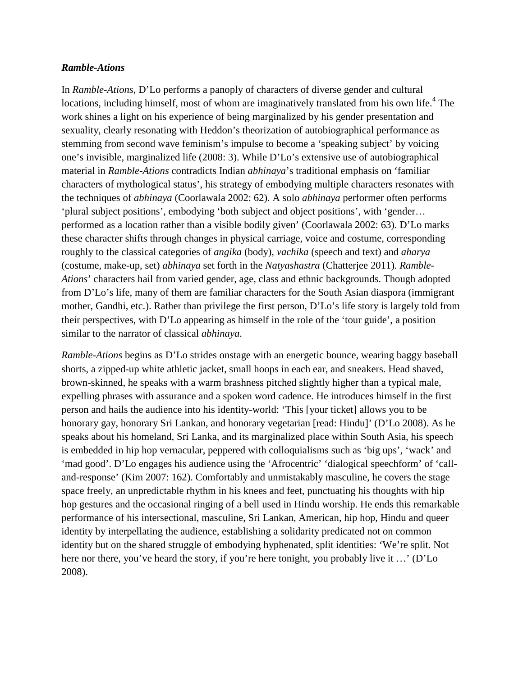#### *Ramble-Ations*

In *Ramble-Ations*, D'Lo performs a panoply of characters of diverse gender and cultural locations, including himself, most of whom are imaginatively translated from his own life.<sup>4</sup> The work shines a light on his experience of being marginalized by his gender presentation and sexuality, clearly resonating with Heddon's theorization of autobiographical performance as stemming from second wave feminism's impulse to become a 'speaking subject' by voicing one's invisible, marginalized life (2008: 3). While D'Lo's extensive use of autobiographical material in *Ramble-Ations* contradicts Indian *abhinaya*'s traditional emphasis on 'familiar characters of mythological status', his strategy of embodying multiple characters resonates with the techniques of *abhinaya* (Coorlawala 2002: 62). A solo *abhinaya* performer often performs 'plural subject positions', embodying 'both subject and object positions', with 'gender… performed as a location rather than a visible bodily given' (Coorlawala 2002: 63). D'Lo marks these character shifts through changes in physical carriage, voice and costume, corresponding roughly to the classical categories of *angika* (body), *vachika* (speech and text) and *aharya*  (costume, make-up, set) *abhinaya* set forth in the *Natyashastra* (Chatterjee 2011). *Ramble-Ations*' characters hail from varied gender, age, class and ethnic backgrounds. Though adopted from D'Lo's life, many of them are familiar characters for the South Asian diaspora (immigrant mother, Gandhi, etc.). Rather than privilege the first person, D'Lo's life story is largely told from their perspectives, with D'Lo appearing as himself in the role of the 'tour guide', a position similar to the narrator of classical *abhinaya*.

*Ramble-Ations* begins as D'Lo strides onstage with an energetic bounce, wearing baggy baseball shorts, a zipped-up white athletic jacket, small hoops in each ear, and sneakers. Head shaved, brown-skinned, he speaks with a warm brashness pitched slightly higher than a typical male, expelling phrases with assurance and a spoken word cadence. He introduces himself in the first person and hails the audience into his identity-world: 'This [your ticket] allows you to be honorary gay, honorary Sri Lankan, and honorary vegetarian [read: Hindu]' (D'Lo 2008). As he speaks about his homeland, Sri Lanka, and its marginalized place within South Asia, his speech is embedded in hip hop vernacular, peppered with colloquialisms such as 'big ups', 'wack' and 'mad good'. D'Lo engages his audience using the 'Afrocentric' 'dialogical speechform' of 'calland-response' (Kim 2007: 162). Comfortably and unmistakably masculine, he covers the stage space freely, an unpredictable rhythm in his knees and feet, punctuating his thoughts with hip hop gestures and the occasional ringing of a bell used in Hindu worship. He ends this remarkable performance of his intersectional, masculine, Sri Lankan, American, hip hop, Hindu and queer identity by interpellating the audience, establishing a solidarity predicated not on common identity but on the shared struggle of embodying hyphenated, split identities: 'We're split. Not here nor there, you've heard the story, if you're here tonight, you probably live it ...' (D'Lo 2008).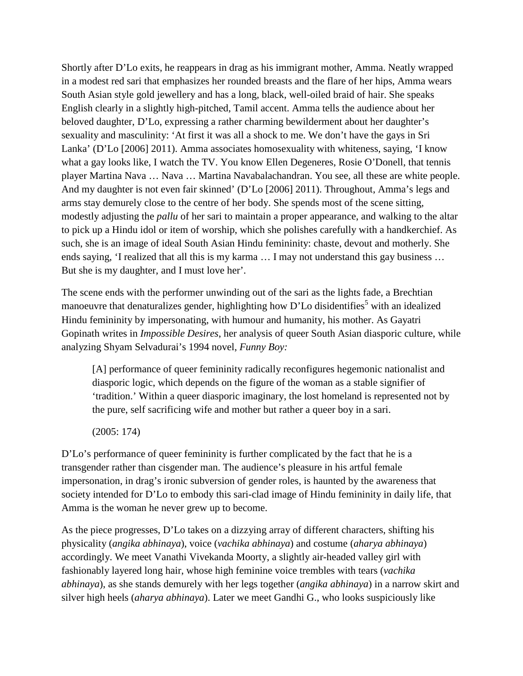Shortly after D'Lo exits, he reappears in drag as his immigrant mother, Amma. Neatly wrapped in a modest red sari that emphasizes her rounded breasts and the flare of her hips, Amma wears South Asian style gold jewellery and has a long, black, well-oiled braid of hair. She speaks English clearly in a slightly high-pitched, Tamil accent. Amma tells the audience about her beloved daughter, D'Lo, expressing a rather charming bewilderment about her daughter's sexuality and masculinity: 'At first it was all a shock to me. We don't have the gays in Sri Lanka' (D'Lo [2006] 2011). Amma associates homosexuality with whiteness, saying, 'I know what a gay looks like, I watch the TV. You know Ellen Degeneres, Rosie O'Donell, that tennis player Martina Nava … Nava … Martina Navabalachandran. You see, all these are white people. And my daughter is not even fair skinned' (D'Lo [2006] 2011). Throughout, Amma's legs and arms stay demurely close to the centre of her body. She spends most of the scene sitting, modestly adjusting the *pallu* of her sari to maintain a proper appearance, and walking to the altar to pick up a Hindu idol or item of worship, which she polishes carefully with a handkerchief. As such, she is an image of ideal South Asian Hindu femininity: chaste, devout and motherly. She ends saying, 'I realized that all this is my karma … I may not understand this gay business … But she is my daughter, and I must love her'.

The scene ends with the performer unwinding out of the sari as the lights fade, a Brechtian manoeuvre that denaturalizes gender, highlighting how D'Lo disidentifies<sup>5</sup> with an idealized Hindu femininity by impersonating, with humour and humanity, his mother. As Gayatri Gopinath writes in *Impossible Desires*, her analysis of queer South Asian diasporic culture, while analyzing Shyam Selvadurai's 1994 novel, *Funny Boy:*

[A] performance of queer femininity radically reconfigures hegemonic nationalist and diasporic logic, which depends on the figure of the woman as a stable signifier of 'tradition.' Within a queer diasporic imaginary, the lost homeland is represented not by the pure, self sacrificing wife and mother but rather a queer boy in a sari.

(2005: 174)

D'Lo's performance of queer femininity is further complicated by the fact that he is a transgender rather than cisgender man. The audience's pleasure in his artful female impersonation, in drag's ironic subversion of gender roles, is haunted by the awareness that society intended for D'Lo to embody this sari-clad image of Hindu femininity in daily life, that Amma is the woman he never grew up to become.

As the piece progresses, D'Lo takes on a dizzying array of different characters, shifting his physicality (*angika abhinaya*), voice (*vachika abhinaya*) and costume (*aharya abhinaya*) accordingly. We meet Vanathi Vivekanda Moorty, a slightly air-headed valley girl with fashionably layered long hair, whose high feminine voice trembles with tears (*vachika abhinaya*), as she stands demurely with her legs together (*angika abhinaya*) in a narrow skirt and silver high heels (*aharya abhinaya*). Later we meet Gandhi G., who looks suspiciously like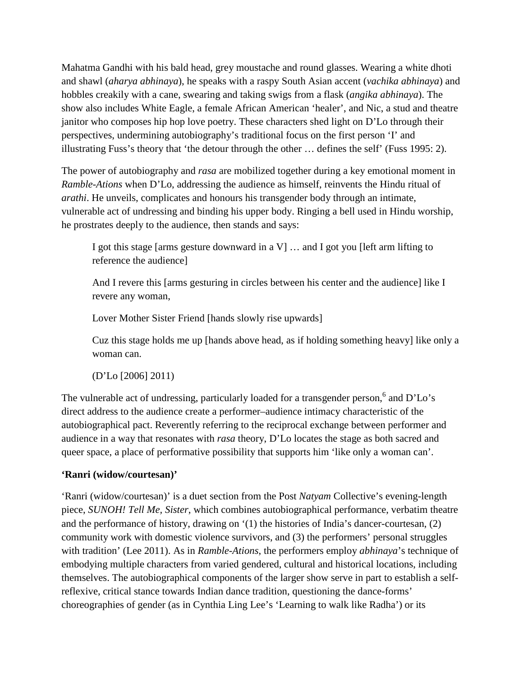Mahatma Gandhi with his bald head, grey moustache and round glasses. Wearing a white dhoti and shawl (*aharya abhinaya*), he speaks with a raspy South Asian accent (*vachika abhinaya*) and hobbles creakily with a cane, swearing and taking swigs from a flask (*angika abhinaya*). The show also includes White Eagle, a female African American 'healer', and Nic, a stud and theatre janitor who composes hip hop love poetry. These characters shed light on D'Lo through their perspectives, undermining autobiography's traditional focus on the first person 'I' and illustrating Fuss's theory that 'the detour through the other … defines the self' (Fuss 1995: 2).

The power of autobiography and *rasa* are mobilized together during a key emotional moment in *Ramble-Ations* when D'Lo, addressing the audience as himself, reinvents the Hindu ritual of *arathi*. He unveils, complicates and honours his transgender body through an intimate, vulnerable act of undressing and binding his upper body. Ringing a bell used in Hindu worship, he prostrates deeply to the audience, then stands and says:

I got this stage [arms gesture downward in a V] … and I got you [left arm lifting to reference the audience]

And I revere this [arms gesturing in circles between his center and the audience] like I revere any woman,

Lover Mother Sister Friend [hands slowly rise upwards]

Cuz this stage holds me up [hands above head, as if holding something heavy] like only a woman can.

(D'Lo [2006] 2011)

The vulnerable act of undressing, particularly loaded for a transgender person, $6$  and  $D'Lo's$ direct address to the audience create a performer–audience intimacy characteristic of the autobiographical pact. Reverently referring to the reciprocal exchange between performer and audience in a way that resonates with *rasa* theory, D'Lo locates the stage as both sacred and queer space, a place of performative possibility that supports him 'like only a woman can'.

## **'Ranri (widow/courtesan)'**

'Ranri (widow/courtesan)' is a duet section from the Post *Natyam* Collective's evening-length piece, *SUNOH! Tell Me, Sister*, which combines autobiographical performance, verbatim theatre and the performance of history, drawing on '(1) the histories of India's dancer-courtesan, (2) community work with domestic violence survivors, and (3) the performers' personal struggles with tradition' (Lee 2011). As in *Ramble-Ations*, the performers employ *abhinaya*'s technique of embodying multiple characters from varied gendered, cultural and historical locations, including themselves. The autobiographical components of the larger show serve in part to establish a selfreflexive, critical stance towards Indian dance tradition, questioning the dance-forms' choreographies of gender (as in Cynthia Ling Lee's 'Learning to walk like Radha') or its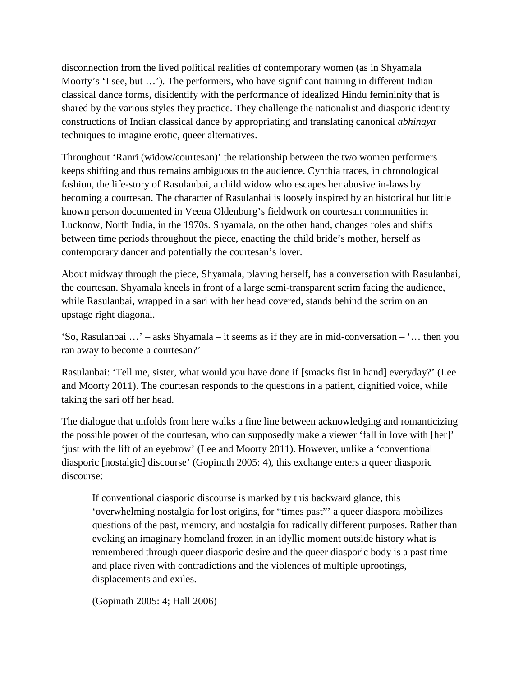disconnection from the lived political realities of contemporary women (as in Shyamala Moorty's 'I see, but …'). The performers, who have significant training in different Indian classical dance forms, disidentify with the performance of idealized Hindu femininity that is shared by the various styles they practice. They challenge the nationalist and diasporic identity constructions of Indian classical dance by appropriating and translating canonical *abhinaya* techniques to imagine erotic, queer alternatives.

Throughout 'Ranri (widow/courtesan)' the relationship between the two women performers keeps shifting and thus remains ambiguous to the audience. Cynthia traces, in chronological fashion, the life-story of Rasulanbai, a child widow who escapes her abusive in-laws by becoming a courtesan. The character of Rasulanbai is loosely inspired by an historical but little known person documented in Veena Oldenburg's fieldwork on courtesan communities in Lucknow, North India, in the 1970s. Shyamala, on the other hand, changes roles and shifts between time periods throughout the piece, enacting the child bride's mother, herself as contemporary dancer and potentially the courtesan's lover.

About midway through the piece, Shyamala, playing herself, has a conversation with Rasulanbai, the courtesan. Shyamala kneels in front of a large semi-transparent scrim facing the audience, while Rasulanbai, wrapped in a sari with her head covered, stands behind the scrim on an upstage right diagonal.

'So, Rasulanbai …' – asks Shyamala – it seems as if they are in mid-conversation – '… then you ran away to become a courtesan?'

Rasulanbai: 'Tell me, sister, what would you have done if [smacks fist in hand] everyday?' (Lee and Moorty 2011). The courtesan responds to the questions in a patient, dignified voice, while taking the sari off her head.

The dialogue that unfolds from here walks a fine line between acknowledging and romanticizing the possible power of the courtesan, who can supposedly make a viewer 'fall in love with [her]' 'just with the lift of an eyebrow' (Lee and Moorty 2011). However, unlike a 'conventional diasporic [nostalgic] discourse' (Gopinath 2005: 4), this exchange enters a queer diasporic discourse:

If conventional diasporic discourse is marked by this backward glance, this 'overwhelming nostalgia for lost origins, for "times past"' a queer diaspora mobilizes questions of the past, memory, and nostalgia for radically different purposes. Rather than evoking an imaginary homeland frozen in an idyllic moment outside history what is remembered through queer diasporic desire and the queer diasporic body is a past time and place riven with contradictions and the violences of multiple uprootings, displacements and exiles.

(Gopinath 2005: 4; Hall 2006)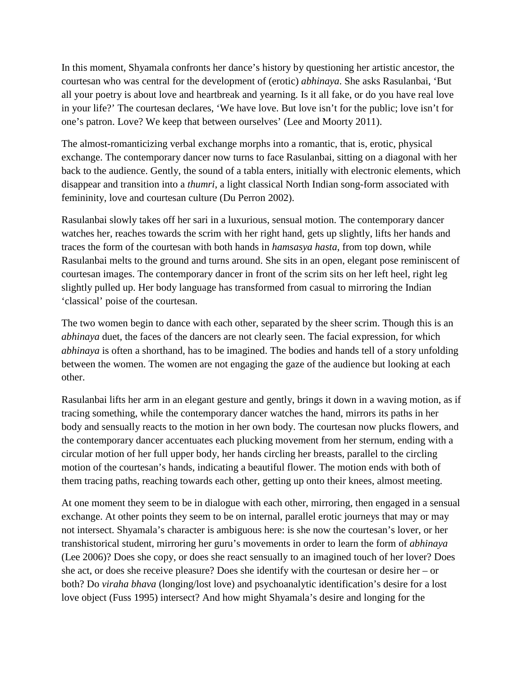In this moment, Shyamala confronts her dance's history by questioning her artistic ancestor, the courtesan who was central for the development of (erotic) *abhinaya*. She asks Rasulanbai, 'But all your poetry is about love and heartbreak and yearning. Is it all fake, or do you have real love in your life?' The courtesan declares, 'We have love. But love isn't for the public; love isn't for one's patron. Love? We keep that between ourselves' (Lee and Moorty 2011).

The almost-romanticizing verbal exchange morphs into a romantic, that is, erotic, physical exchange. The contemporary dancer now turns to face Rasulanbai, sitting on a diagonal with her back to the audience. Gently, the sound of a tabla enters, initially with electronic elements, which disappear and transition into a *thumri*, a light classical North Indian song-form associated with femininity, love and courtesan culture (Du Perron 2002).

Rasulanbai slowly takes off her sari in a luxurious, sensual motion. The contemporary dancer watches her, reaches towards the scrim with her right hand, gets up slightly, lifts her hands and traces the form of the courtesan with both hands in *hamsasya hasta*, from top down, while Rasulanbai melts to the ground and turns around. She sits in an open, elegant pose reminiscent of courtesan images. The contemporary dancer in front of the scrim sits on her left heel, right leg slightly pulled up. Her body language has transformed from casual to mirroring the Indian 'classical' poise of the courtesan.

The two women begin to dance with each other, separated by the sheer scrim. Though this is an *abhinaya* duet, the faces of the dancers are not clearly seen. The facial expression, for which *abhinaya* is often a shorthand, has to be imagined. The bodies and hands tell of a story unfolding between the women. The women are not engaging the gaze of the audience but looking at each other.

Rasulanbai lifts her arm in an elegant gesture and gently, brings it down in a waving motion, as if tracing something, while the contemporary dancer watches the hand, mirrors its paths in her body and sensually reacts to the motion in her own body. The courtesan now plucks flowers, and the contemporary dancer accentuates each plucking movement from her sternum, ending with a circular motion of her full upper body, her hands circling her breasts, parallel to the circling motion of the courtesan's hands, indicating a beautiful flower. The motion ends with both of them tracing paths, reaching towards each other, getting up onto their knees, almost meeting.

At one moment they seem to be in dialogue with each other, mirroring, then engaged in a sensual exchange. At other points they seem to be on internal, parallel erotic journeys that may or may not intersect. Shyamala's character is ambiguous here: is she now the courtesan's lover, or her transhistorical student, mirroring her guru's movements in order to learn the form of *abhinaya*  (Lee 2006)? Does she copy, or does she react sensually to an imagined touch of her lover? Does she act, or does she receive pleasure? Does she identify with the courtesan or desire her – or both? Do *viraha bhava* (longing/lost love) and psychoanalytic identification's desire for a lost love object (Fuss 1995) intersect? And how might Shyamala's desire and longing for the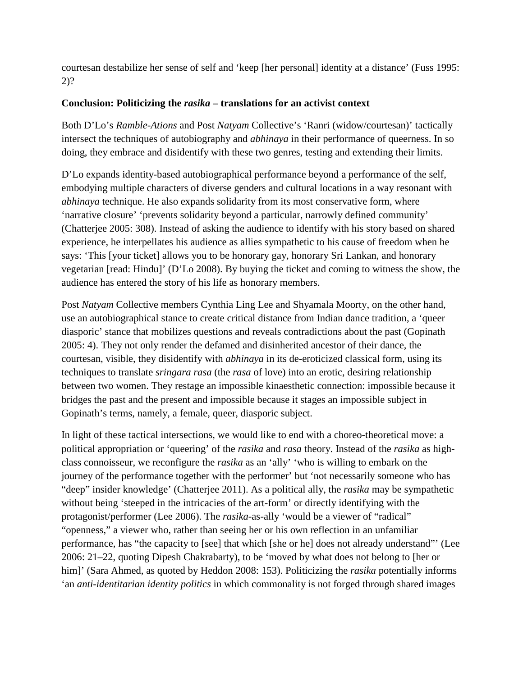courtesan destabilize her sense of self and 'keep [her personal] identity at a distance' (Fuss 1995: 2)?

## **Conclusion: Politicizing the** *rasika* **– translations for an activist context**

Both D'Lo's *Ramble-Ations* and Post *Natyam* Collective's 'Ranri (widow/courtesan)' tactically intersect the techniques of autobiography and *abhinaya* in their performance of queerness. In so doing, they embrace and disidentify with these two genres, testing and extending their limits.

D'Lo expands identity-based autobiographical performance beyond a performance of the self, embodying multiple characters of diverse genders and cultural locations in a way resonant with *abhinaya* technique. He also expands solidarity from its most conservative form, where 'narrative closure' 'prevents solidarity beyond a particular, narrowly defined community' (Chatterjee 2005: 308). Instead of asking the audience to identify with his story based on shared experience, he interpellates his audience as allies sympathetic to his cause of freedom when he says: 'This [your ticket] allows you to be honorary gay, honorary Sri Lankan, and honorary vegetarian [read: Hindu]' (D'Lo 2008). By buying the ticket and coming to witness the show, the audience has entered the story of his life as honorary members.

Post *Natyam* Collective members Cynthia Ling Lee and Shyamala Moorty, on the other hand, use an autobiographical stance to create critical distance from Indian dance tradition, a 'queer diasporic' stance that mobilizes questions and reveals contradictions about the past (Gopinath 2005: 4). They not only render the defamed and disinherited ancestor of their dance, the courtesan, visible, they disidentify with *abhinaya* in its de-eroticized classical form, using its techniques to translate *sringara rasa* (the *rasa* of love) into an erotic, desiring relationship between two women. They restage an impossible kinaesthetic connection: impossible because it bridges the past and the present and impossible because it stages an impossible subject in Gopinath's terms, namely, a female, queer, diasporic subject.

In light of these tactical intersections, we would like to end with a choreo-theoretical move: a political appropriation or 'queering' of the *rasika* and *rasa* theory. Instead of the *rasika* as highclass connoisseur, we reconfigure the *rasika* as an 'ally' 'who is willing to embark on the journey of the performance together with the performer' but 'not necessarily someone who has "deep" insider knowledge' (Chatterjee 2011). As a political ally, the *rasika* may be sympathetic without being 'steeped in the intricacies of the art-form' or directly identifying with the protagonist/performer (Lee 2006). The *rasika*-as-ally 'would be a viewer of "radical" "openness," a viewer who, rather than seeing her or his own reflection in an unfamiliar performance, has "the capacity to [see] that which [she or he] does not already understand"' (Lee 2006: 21–22, quoting Dipesh Chakrabarty), to be 'moved by what does not belong to [her or him]' (Sara Ahmed, as quoted by Heddon 2008: 153). Politicizing the *rasika* potentially informs 'an *anti-identitarian identity politics* in which commonality is not forged through shared images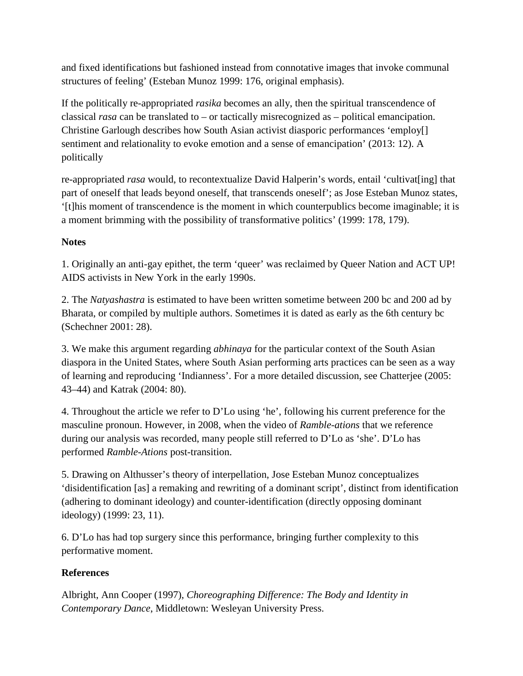and fixed identifications but fashioned instead from connotative images that invoke communal structures of feeling' (Esteban Munoz 1999: 176, original emphasis).

If the politically re-appropriated *rasika* becomes an ally, then the spiritual transcendence of classical *rasa* can be translated to – or tactically misrecognized as – political emancipation. Christine Garlough describes how South Asian activist diasporic performances 'employ[] sentiment and relationality to evoke emotion and a sense of emancipation' (2013: 12). A politically

re-appropriated *rasa* would, to recontextualize David Halperin's words, entail 'cultivat[ing] that part of oneself that leads beyond oneself, that transcends oneself'; as Jose Esteban Munoz states, '[t]his moment of transcendence is the moment in which counterpublics become imaginable; it is a moment brimming with the possibility of transformative politics' (1999: 178, 179).

# **Notes**

1. Originally an anti-gay epithet, the term 'queer' was reclaimed by Queer Nation and ACT UP! AIDS activists in New York in the early 1990s.

2. The *Natyashastra* is estimated to have been written sometime between 200 bc and 200 ad by Bharata, or compiled by multiple authors. Sometimes it is dated as early as the 6th century bc (Schechner 2001: 28).

3. We make this argument regarding *abhinaya* for the particular context of the South Asian diaspora in the United States, where South Asian performing arts practices can be seen as a way of learning and reproducing 'Indianness'. For a more detailed discussion, see Chatterjee (2005: 43–44) and Katrak (2004: 80).

4. Throughout the article we refer to D'Lo using 'he', following his current preference for the masculine pronoun. However, in 2008, when the video of *Ramble-ations* that we reference during our analysis was recorded, many people still referred to D'Lo as 'she'. D'Lo has performed *Ramble-Ations* post-transition.

5. Drawing on Althusser's theory of interpellation, Jose Esteban Munoz conceptualizes 'disidentification [as] a remaking and rewriting of a dominant script', distinct from identification (adhering to dominant ideology) and counter-identification (directly opposing dominant ideology) (1999: 23, 11).

6. D'Lo has had top surgery since this performance, bringing further complexity to this performative moment.

# **References**

Albright, Ann Cooper (1997), *Choreographing Difference: The Body and Identity in Contemporary Dance*, Middletown: Wesleyan University Press.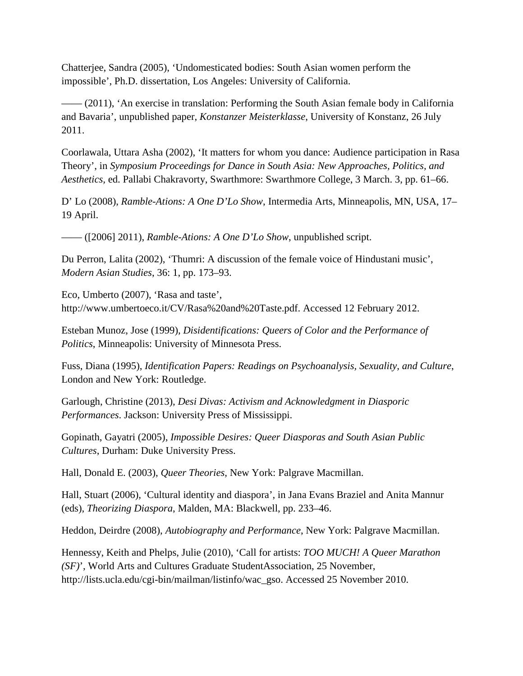Chatterjee, Sandra (2005), 'Undomesticated bodies: South Asian women perform the impossible', Ph.D. dissertation, Los Angeles: University of California.

—— (2011), 'An exercise in translation: Performing the South Asian female body in California and Bavaria', unpublished paper, *Konstanzer Meisterklasse*, University of Konstanz, 26 July 2011.

Coorlawala, Uttara Asha (2002), 'It matters for whom you dance: Audience participation in Rasa Theory', in *Symposium Proceedings for Dance in South Asia: New Approaches, Politics, and Aesthetics,* ed. Pallabi Chakravorty, Swarthmore: Swarthmore College, 3 March. 3, pp. 61–66.

D' Lo (2008), *Ramble-Ations: A One D'Lo Show*, Intermedia Arts, Minneapolis, MN, USA, 17– 19 April.

—— ([2006] 2011), *Ramble-Ations: A One D'Lo Show*, unpublished script.

Du Perron, Lalita (2002), 'Thumri: A discussion of the female voice of Hindustani music', *Modern Asian Studies*, 36: 1, pp. 173–93.

Eco, Umberto (2007), 'Rasa and taste', http://www.umbertoeco.it/CV/Rasa%20and%20Taste.pdf. Accessed 12 February 2012.

Esteban Munoz, Jose (1999), *Disidentifications: Queers of Color and the Performance of Politics*, Minneapolis: University of Minnesota Press.

Fuss, Diana (1995), *Identification Papers: Readings on Psychoanalysis, Sexuality, and Culture*, London and New York: Routledge.

Garlough, Christine (2013), *Desi Divas: Activism and Acknowledgment in Diasporic Performances*. Jackson: University Press of Mississippi.

Gopinath, Gayatri (2005), *Impossible Desires: Queer Diasporas and South Asian Public Cultures*, Durham: Duke University Press.

Hall, Donald E. (2003), *Queer Theories*, New York: Palgrave Macmillan.

Hall, Stuart (2006), 'Cultural identity and diaspora', in Jana Evans Braziel and Anita Mannur (eds), *Theorizing Diaspora*, Malden, MA: Blackwell, pp. 233–46.

Heddon, Deirdre (2008), *Autobiography and Performance*, New York: Palgrave Macmillan.

Hennessy, Keith and Phelps, Julie (2010), 'Call for artists: *TOO MUCH! A Queer Marathon (SF)*', World Arts and Cultures Graduate StudentAssociation, 25 November, http://lists.ucla.edu/cgi-bin/mailman/listinfo/wac\_gso. Accessed 25 November 2010.